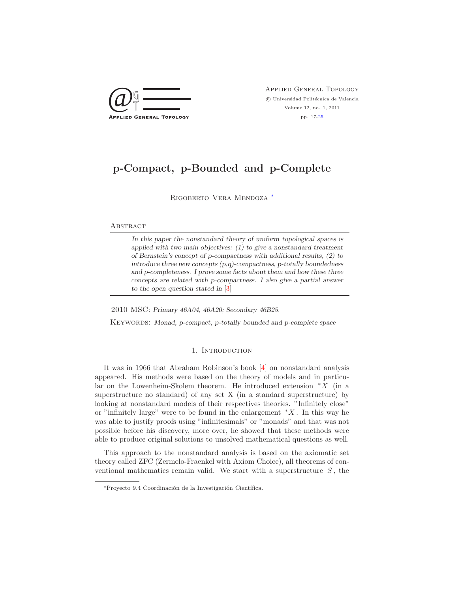

Applied General Topology  $\odot$  Universidad Politécnica de Valencia Volume 12, no. 1, 2011 pp. 17[-25](#page-8-0)

# p-Compact, p-Bounded and p-Complete

Rigoberto Vera Mendoza [∗](#page-0-0)

#### **ABSTRACT**

In this paper the nonstandard theory of uniform topological spaces is applied with two main objectives: (1) to give a nonstandard treatment of Bernstein's concept of p-compactness with additional results, (2) to introduce three new concepts (p,q)-compactness, p-totally boundedness and p-completeness. I prove some facts about them and how these three concepts are related with p-compactness. I also give a partial answer to the open question stated in [\[3\]](#page-8-1)

2010 MSC: Primary 46A04, 46A20; Secondary 46B25.

KEYWORDS: Monad, p-compact, p-totally bounded and p-complete space

# 1. Introduction

It was in 1966 that Abraham Robinson's book [\[4\]](#page-8-2) on nonstandard analysis appeared. His methods were based on the theory of models and in particular on the Lowenheim-Skolem theorem. He introduced extension  $*X$  (in a superstructure no standard) of any set X (in a standard superstructure) by looking at nonstandard models of their respectives theories. "Infinitely close" or "infinitely large" were to be found in the enlargement  $*X$ . In this way he was able to justify proofs using "infinitesimals" or "monads" and that was not possible before his discovery, more over, he showed that these methods were able to produce original solutions to unsolved mathematical questions as well.

This approach to the nonstandard analysis is based on the axiomatic set theory called ZFC (Zermelo-Fraenkel with Axiom Choice), all theorems of conventional mathematics remain valid. We start with a superstructure  $S$ , the

<span id="page-0-0"></span><sup>\*</sup>Proyecto 9.4 Coordinación de la Investigación Científica.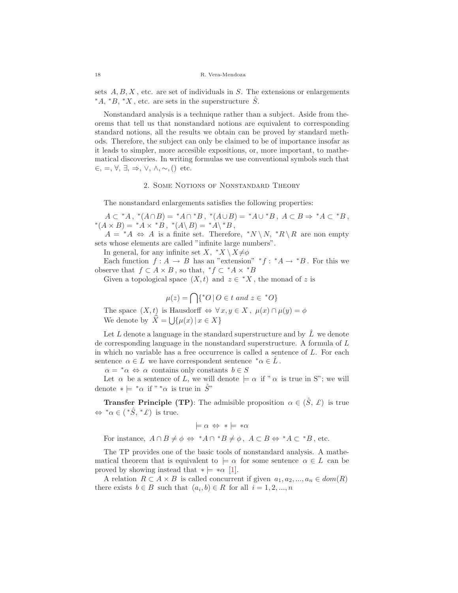sets  $A, B, X$ , etc. are set of individuals in S. The extensions or enlargements  $*A, *B, *X$ , etc. are sets in the superstructure  $\hat{S}$ .

Nonstandard analysis is a technique rather than a subject. Aside from theorems that tell us that nonstandard notions are equivalent to corresponding standard notions, all the results we obtain can be proved by standard methods. Therefore, the subject can only be claimed to be of importance insofar as it leads to simpler, more accesible expositions, or, more important, to mathematical discoveries. In writing formulas we use conventional symbols such that  $\epsilon$ ,  $=$ ,  $\forall$ ,  $\exists$ ,  $\Rightarrow$ ,  $\lor$ ,  $\land$ ,  $\sim$ ,  $()$  etc.

# 2. Some Notions of Nonstandard Theory

The nonstandard enlargements satisfies the following properties:

 $A \subset {}^*A$ ,  ${}^*(A \cap B) = {}^*A \cap {}^*B$ ,  ${}^*(A \cup B) = {}^*A \cup {}^*B$ ,  $A \subset B \Rightarrow {}^*A \subset {}^*B$ ,  $*(A \times B) = *A \times *B$ ,  $*(A \setminus B) = *A \setminus *B$ ,

 $A = {}^*A \Leftrightarrow A$  is a finite set. Therefore,  ${}^*N \backslash N$ ,  ${}^*R \backslash R$  are non empty sets whose elements are called "infinite large numbers".

In general, for any infinite set  $X, *X \setminus X \neq \emptyset$ 

Each function  $f: A \to B$  has an "extension"  $*f: A \to B$ . For this we observe that  $f \subset A \times B$ , so that,  $*f \subset {}^*A \times {}^*B$ 

Given a topological space  $(X, t)$  and  $z \in {}^*X$ , the monad of z is

$$
\mu(z) = \bigcap \{ ^*O \mid O \in t \text{ and } z \in {}^*O \}
$$

The space  $(X, t)$  is Hausdorff  $\Leftrightarrow \forall x, y \in X$ ,  $\mu(x) \cap \mu(y) = \phi$ We denote by  $\hat{X} = \bigcup \{ \mu(x) | x \in X \}$ 

Let L denote a language in the standard superstructure and by  $\hat{L}$  we denote de corresponding language in the nonstandard superstructure. A formula of L in which no variable has a free occurrence is called a sentence of L. For each sentence  $\alpha \in L$  we have correspondent sentence  $^* \alpha \in L$ .

 $\alpha = \alpha \Leftrightarrow \alpha$  contains only constants  $b \in S$ 

Let  $\alpha$  be a sentence of L, we will denote  $\models \alpha$  if "  $\alpha$  is true in S"; we will denote  $* \models * \alpha$  if  $" * \alpha$  is true in  $\hat{S}$ "

**Transfer Principle (TP)**: The admisible proposition  $\alpha \in (\hat{S}, \mathcal{L})$  is true  $\Leftrightarrow$  \* $\alpha \in (*\hat{S}, * \mathcal{L})$  is true.

$$
\models \alpha \Leftrightarrow * \models * \alpha
$$

For instance,  $A \cap B \neq \phi \Leftrightarrow {}^*A \cap {}^*B \neq \phi$ ,  $A \subset B \Leftrightarrow {}^*A \subset {}^*B$ , etc.

The TP provides one of the basic tools of nonstandard analysis. A mathematical theorem that is equivalent to  $\models \alpha$  for some sentence  $\alpha \in L$  can be proved by showing instead that  $* \models * \alpha$  [\[1\]](#page-8-3).

A relation  $R \subset A \times B$  is called concurrent if given  $a_1, a_2, ..., a_n \in dom(R)$ there exists  $b \in B$  such that  $(a_i, b) \in R$  for all  $i = 1, 2, ..., n$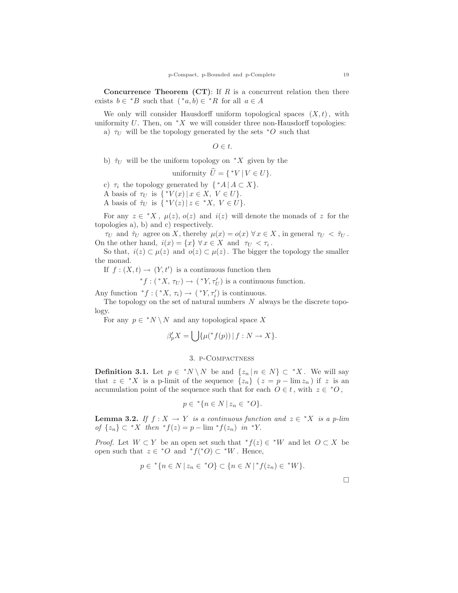**Concurrence Theorem (CT)**: If  $R$  is a concurrent relation then there exists  $b \in {}^*B$  such that  $({}^*a, b) \in {}^*R$  for all  $a \in A$ 

We only will consider Hausdorff uniform topological spaces  $(X, t)$ , with uniformity U. Then, on  $*X$  we will consider three non-Hausdorff topologies: a)  $\tau_U$  will be the topology generated by the sets  $*$ O such that

 $O \in t$ .

b)  $\hat{\tau}_U$  will be the uniform topology on  $^*X$  given by the

uniformity 
$$
\hat{U} = \{^*V | V \in U\}.
$$

c)  $\tau_i$  the topology generated by  $\{ A \mid A \subset X \}.$ 

A basis of  $\tau_U$  is  $\{^*V(x) | x \in X, V \in U\}.$ 

A basis of  $\hat{\tau}_U$  is  $\{^*V(z) | z \in ^*X, V \in U\}.$ 

For any  $z \in {}^*X$ ,  $\mu(z)$ ,  $o(z)$  and  $i(z)$  will denote the monads of z for the topologies a), b) and c) respectively.

 $\tau_U$  and  $\hat{\tau}_U$  agree on X, thereby  $\mu(x) = o(x) \,\forall x \in X$ , in general  $\tau_U < \hat{\tau}_U$ . On the other hand,  $i(x) = \{x\} \forall x \in X$  and  $\tau_U < \tau_i$ .

So that,  $i(z) \subset \mu(z)$  and  $o(z) \subset \mu(z)$ . The bigger the topology the smaller the monad.

If  $f: (X,t) \to (Y,t')$  is a continuous function then

\*f:  $(*X, \tau_U) \to (*Y, \tau_U')$  is a continuous function.

Any function  ${}^*f:({}^*X,\tau_i)\to ({}^*Y,\tau'_i)$  is continuous.

The topology on the set of natural numbers  $N$  always be the discrete topology.

For any  $p \in {}^*N \setminus N$  and any topological space X

$$
\beta_p' X = \bigcup \{ \mu(^* f(p)) \mid f : N \to X \}.
$$

## 3. p-Compactness

**Definition 3.1.** Let  $p \in {}^*N \setminus N$  be and  $\{z_n | n \in N\} \subset {}^*X$ . We will say that  $z \in {}^*X$  is a p-limit of the sequence  $\{z_n\}$   $(z = p - \lim z_n)$  if z is an accumulation point of the sequence such that for each  $O \in t$ , with  $z \in {^*O}$ ,

$$
p \in \mathbf{A} \{ n \in N \, | \, z_n \in \mathbf{A} O \}.
$$

**Lemma 3.2.** If  $f: X \to Y$  is a continuous function and  $z \in {^*X}$  is a p-lim of  $\{z_n\}$  ⊂ \* X then \*  $f(z) = p - \lim {}^{*} f(z_n)$  in \*Y.

*Proof.* Let  $W \subset Y$  be an open set such that  $*f(z) \in *W$  and let  $O \subset X$  be open such that  $z \in {^*O}$  and  ${^*f(^*O)} \subset {^*W}$ . Hence,

$$
p \in {}^{*}\{n \in N \,|\, z_n \in {}^{*}O\} \subset \{n \in N \,|\, {}^{*}f(z_n) \in {}^{*}W\}.
$$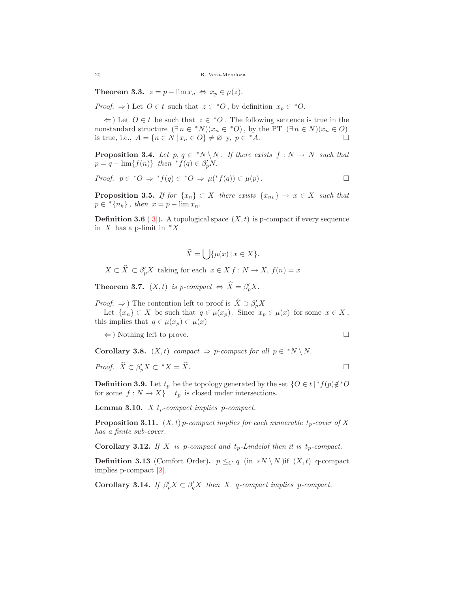Theorem 3.3.  $z = p - \lim x_n \Leftrightarrow x_p \in \mu(z)$ .

*Proof.*  $\Rightarrow$  ) Let  $O \in t$  such that  $z \in {}^*O$ , by definition  $x_p \in {}^*O$ .

 $\Leftarrow$ ) Let  $O \in t$  be such that  $z \in {^*O}$ . The following sentence is true in the nonstandard structure  $(\exists n \in {}^*N)(x_n \in {}^*O)$ , by the PT  $(\exists n \in N)(x_n \in O)$ is true, i.e.,  $A = \{n \in \mathbb{N} \mid x_n \in \mathbb{O}\} \neq \emptyset$  y,  $p \in {^*A}$ .

**Proposition 3.4.** Let  $p, q \in {}^*N \setminus N$ . If there exists  $f : N \to N$  such that  $p = q - \lim\{f(n)\}\ \text{then }\ {}^*f(q) \in \beta'_pN.$ 

*Proof.* 
$$
p \in {}^*O \Rightarrow {}^*f(q) \in {}^*O \Rightarrow \mu({}^*f(q)) \subset \mu(p)
$$
.

**Proposition 3.5.** If for  $\{x_n\} \subset X$  there exists  $\{x_{n_k}\} \to x \in X$  such that  $p \in {}^*\{n_k\},\$  then  $x = p - \lim x_n$ .

**Definition 3.6** ([\[3\]](#page-8-1)). A topological space  $(X, t)$  is p-compact if every sequence in  $X$  has a p-limit in  $*X$ 

$$
\widehat{X} = \bigcup \{ \mu(x) \, | \, x \in X \}.
$$

 $X \subset \widehat{X} \subset \beta'_p X$  taking for each  $x \in X$   $f : N \to X$ ,  $f(n) = x$ 

**Theorem 3.7.**  $(X, t)$  is p-compact  $\Leftrightarrow \hat{X} = \beta_p' X$ .

*Proof.*  $\Rightarrow$  ) The contention left to proof is  $\hat{X} \supset \beta_p' X$ 

Let  $\{x_n\} \subset X$  be such that  $q \in \mu(x_p)$ . Since  $x_p \in \mu(x)$  for some  $x \in X$ , this implies that  $q \in \mu(x_p) \subset \mu(x)$ 

 $\Leftarrow$ ) Nothing left to prove.

Corollary 3.8.  $(X, t)$  compact  $\Rightarrow$  p-compact for all  $p \in {}^*N \setminus N$ .

*Proof.* 
$$
\widehat{X} \subset \beta_p' X \subset {}^*X = \widehat{X}
$$
.

**Definition 3.9.** Let  $t_p$  be the topology generated by the set  $\{O \in t \mid {}^*f(p) \notin {}^*O \}$ for some  $f : N \to X$  t<sub>p</sub> is closed under intersections.

**Lemma 3.10.** X  $t_p$ -compact implies p-compact.

**Proposition 3.11.**  $(X, t)$  p-compact implies for each numerable  $t_p$ -cover of X has a finite sub-cover.

**Corollary 3.12.** If X is p-compact and  $t_p$ -Lindelof then it is  $t_p$ -compact.

**Definition 3.13** (Comfort Order).  $p \leq_C q$  (in \*N \ N )if  $(X, t)$  q-compact implies p-compact [\[2\]](#page-8-4).

Corollary 3.14. If  $\beta'_p X \subset \beta'_q X$  then X q-compact implies p-compact.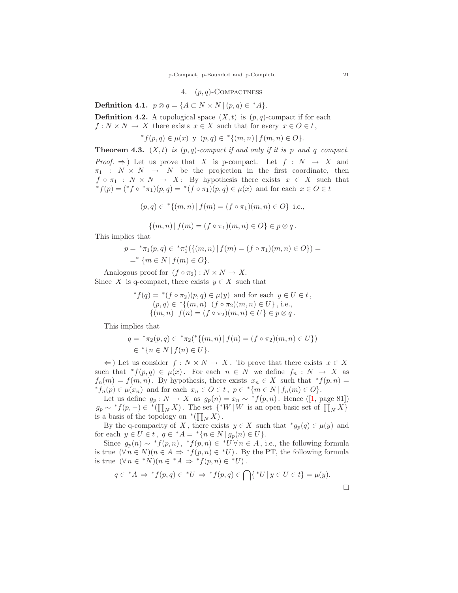## 4.  $(p, q)$ -COMPACTNESS

Definition 4.1.  $p \otimes q = \{A \subset N \times N \mid (p,q) \in {}^*A\}.$ 

**Definition 4.2.** A topological space  $(X, t)$  is  $(p, q)$ -compact if for each  $f: N \times N \to X$  there exists  $x \in X$  such that for every  $x \in O \in t$ ,

$$
{}^*f(p,q) \in \mu(x) \ \text{y} \ (p,q) \in {}^* \{ (m,n) \ | \ f(m,n) \in O \}.
$$

**Theorem 4.3.**  $(X, t)$  is  $(p, q)$ -compact if and only if it is p and q compact. *Proof.*  $\Rightarrow$  ) Let us prove that X is p-compact. Let  $f : N \rightarrow X$  and  $\pi_1 : N \times N \rightarrow N$  be the projection in the first coordinate, then  $f \circ \pi_1 : N \times N \to X:$  By hypothesis there exists  $x \in X$  such that  ${}^*f(p) = ({}^*f \circ {}^*\pi_1)(p,q) = {}^*(f \circ \pi_1)(p,q) \in \mu(x)$  and for each  $x \in O \in t$ 

$$
(p,q) \in {}^{*}{(m,n) | f(m) = (f \circ \pi_1)(m,n) \in O}
$$
 i.e.,

$$
\{(m,n) | f(m) = (f \circ \pi_1)(m,n) \in O\} \in p \otimes q.
$$

This implies that

$$
p = {}^{*}\pi_{1}(p,q) \in {}^{*}\pi_{1}^{*}(\{(m,n) | f(m) = (f \circ \pi_{1})(m,n) \in O\}) =
$$
  
= {}^{\*}\{m \in N | f(m) \in O\}.

Analogous proof for  $(f \circ \pi_2) : N \times N \to X$ . Since X is q-compact, there exists  $y \in X$  such that

$$
{}^*f(q) = {}^*(f \circ \pi_2)(p, q) \in \mu(y) \text{ and for each } y \in U \in t,
$$
  
\n
$$
(p, q) \in {}^*\{(m, n) | (f \circ \pi_2)(m, n) \in U\}, \text{ i.e.,}
$$
  
\n
$$
\{(m, n) | f(n) = (f \circ \pi_2)(m, n) \in U\} \in p \otimes q.
$$

This implies that

$$
q = {}^{*}\pi_{2}(p,q) \in {}^{*}\pi_{2}({}^{*}\{(m,n) | f(n) = (f \circ \pi_{2})(m,n) \in U\})
$$
  

$$
\in {}^{*}\{n \in N | f(n) \in U\}.
$$

 $\Leftarrow$ ) Let us consider  $f : N \times N \rightarrow X$ . To prove that there exists  $x \in X$ such that  $*f(p,q) \in \mu(x)$ . For each  $n \in N$  we define  $f_n : N \to X$  as  $f_n(m) = f(m, n)$ . By hypothesis, there exists  $x_n \in X$  such that  $*f(p, n) =$  $*f_n(p) \in \mu(x_n)$  and for each  $x_n \in O \in t$ ,  $p \in *{m \in N \mid f_n(m) \in O}$ .

Let us define  $g_p : N \to X$  as  $g_p(n) = x_n \sim {}^*f(p,n)$ . Hence ([\[1,](#page-8-3) page 81])  $g_p \sim {}^*f(p,-) \in {}^*([\prod_N X])$ . The set  $\{ {}^*W \mid W$  is an open basic set of  $\prod_N X$ } is a basis of the topology on  $^*(\prod_N X)$ .

By the q-compacity of X, there exists  $y \in X$  such that  $^*g_p(q) \in \mu(y)$  and for each  $y \in U \in t$ ,  $q \in {}^*A = {}^*\{n \in N \mid g_p(n) \in U\}.$ 

Since  $g_p(n) \sim {}^*f(p,n)$ ,  ${}^*f(p,n) \in {}^*U \forall n \in A$ , i.e., the following formula is true  $(\forall n \in N)(n \in A \Rightarrow {}^*f(p,n) \in {}^*U)$ . By the PT, the following formula is true  $(\forall n \in {}^*N)(n \in {}^*A \Rightarrow {}^*f(p,n) \in {}^*U)$ .

$$
q \in {}^{\ast}A \Rightarrow {}^{\ast}f(p,q) \in {}^{\ast}U \Rightarrow {}^{\ast}f(p,q) \in \bigcap \{ {}^{\ast}U \mid y \in U \in t \} = \mu(y).
$$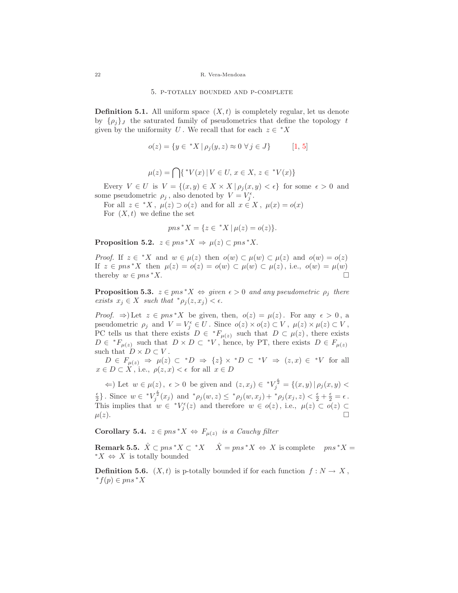#### 5. p-totally bounded and p-complete

**Definition 5.1.** All uniform space  $(X, t)$  is completely regular, let us denote by  $\{\rho_i\}_J$  the saturated family of pseudometrics that define the topology t given by the uniformity U. We recall that for each  $z \in {}^*X$ 

$$
o(z) = \{ y \in {}^*X \mid \rho_j(y, z) \approx 0 \,\,\forall \, j \in J \}
$$
 [1, 5]

$$
\mu(z) = \bigcap \{ \,^*V(x) \, | \, V \in U, \, x \in X, \, z \in \,^*V(x) \}
$$

Every  $V \in U$  is  $V = \{(x, y) \in X \times X \mid \rho_i(x, y) < \epsilon\}$  for some  $\epsilon > 0$  and some pseudometric  $\rho_j$ , also denoted by  $V = V_j^{\epsilon}$ .

For all  $z \in {}^*X$ ,  $\mu(z) \supset o(z)$  and for all  $x \in X$ ,  $\mu(x) = o(x)$ For  $(X, t)$  we define the set

$$
pns * X = \{ z \in *X \mid \mu(z) = o(z) \}.
$$

Proposition 5.2.  $z \in pns^*X \Rightarrow \mu(z) \subset pns^*X$ .

*Proof.* If  $z \in {}^*X$  and  $w \in \mu(z)$  then  $o(w) \subset \mu(w) \subset \mu(z)$  and  $o(w) = o(z)$ If  $z \in pns^*X$  then  $\mu(z) = o(z) = o(w) \subset \mu(w) \subset \mu(z)$ , i.e.,  $o(w) = \mu(w)$ thereby  $w \in pns^*X$ .

**Proposition 5.3.**  $z \in pns^*X \Leftrightarrow given \epsilon > 0$  and any pseudometric  $\rho_j$  there exists  $x_i \in X$  such that  $^* \rho_i(z, x_i) < \epsilon$ .

*Proof.*  $\Rightarrow$  Let  $z \in pns^*X$  be given, then,  $o(z) = \mu(z)$ . For any  $\epsilon > 0$ , a pseudometric  $\rho_j$  and  $V = V_j^{\epsilon} \in U$ . Since  $o(z) \times o(z) \subset V$ ,  $\mu(z) \times \mu(z) \subset V$ , PC tells us that there exists  $D \in {}^*F_{\mu(z)}$  such that  $D \subset \mu(z)$ , there exists  $D \in {}^*F_{\mu(z)}$  such that  $D \times D \subset {}^*V$ , hence, by PT, there exists  $D \in F_{\mu(z)}$ such that  $D \times D \subset V$ .

 $D \in F_{\mu(z)} \Rightarrow \mu(z) \subset {}^*D \Rightarrow \{z\} \times {}^*D \subset {}^*V \Rightarrow (z,x) \in {}^*V$  for all  $x \in D \subset X$ , i.e.,  $\rho(z, x) < \epsilon$  for all  $x \in D$ 

 $\Leftarrow$ ) Let  $w \in \mu(z)$ ,  $\epsilon > 0$  be given and  $(z, x_j) \in {^*V_j}^{\frac{\epsilon}{2}} = \{(x, y) | \rho_j(x, y)$  $\frac{\epsilon}{2}$ . Since  $w \in {^*V}^{\frac{\epsilon}{2}}_j(x_j)$  and  ${}^*\rho_j(w,z) \leq {}^*\rho_j(w,x_j) + {}^*\rho_j(x_j,z) < \frac{\epsilon}{2} + \frac{\epsilon}{2} = \epsilon$ . This implies that  $w \in {}^{*}V_{j}^{\epsilon}(z)$  and therefore  $w \in o(z)$ , i.e.,  $\mu(z) \subset o(z) \subset$  $\mu(z)$ .

Corollary 5.4.  $z \in pns^*X \Leftrightarrow F_{\mu(z)}$  is a Cauchy filter

**Remark 5.5.**  $\hat{X} \subset pns^*X \subset {}^*X \quad \hat{X} = pns^*X \Leftrightarrow X$  is complete  $pns^*X =$ <sup>\*</sup> $X$   $\Leftrightarrow$  X is totally bounded

**Definition 5.6.**  $(X, t)$  is p-totally bounded if for each function  $f: N \to X$ , <sup>∗</sup>f(p) ∈ pns <sup>∗</sup>X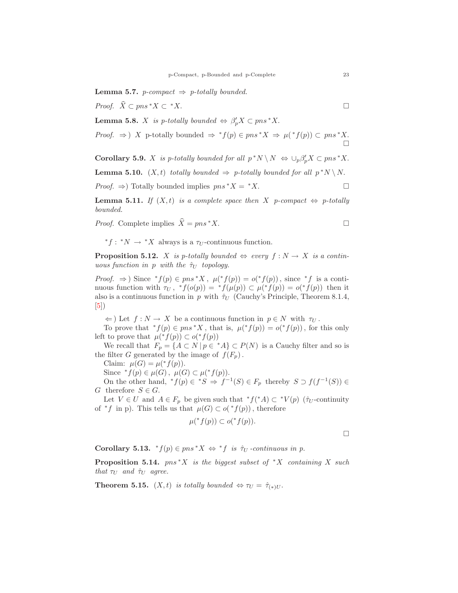**Lemma 5.7.** *p*-compact  $\Rightarrow$  *p*-totally bounded.

*Proof.*  $\widehat{X}$  ⊂  $pns * X$  ⊂ \*X.

**Lemma 5.8.** X is p-totally bounded  $\Leftrightarrow \beta'_pX \subset pns^*X$ .

*Proof.* 
$$
\Rightarrow
$$
) X p-totally bounded  $\Rightarrow$  \*f(p)  $\in$  pns \*X  $\Rightarrow$   $\mu$ (\*f(p))  $\subset$  pns \*X.

**Corollary 5.9.** X is p-totally bounded for all  $p^*N \setminus N \iff \bigcup_p \beta'_p X \subset pns^*X$ .

**Lemma 5.10.**  $(X,t)$  totally bounded  $\Rightarrow$  p-totally bounded for all  $p^*N \setminus N$ .

*Proof.*  $\Rightarrow$ ) Totally bounded implies  $pns * X = X$ .

**Lemma 5.11.** If  $(X, t)$  is a complete space then X p-compact  $\Leftrightarrow$  p-totally bounded.

*Proof.* Complete implies  $\hat{X} = pns * X$ .

\* $f:$  \* $N$  → \* $X$  always is a  $\tau_U$ -continuous function.

**Proposition 5.12.** X is p-totally bounded  $\Leftrightarrow$  every  $f : N \to X$  is a continuous function in p with the  $\hat{\tau}_U$  topology.

*Proof.*  $\Rightarrow$  ) Since  ${}^*f(p) \in pns * X$ ,  $\mu({}^*f(p)) = o({}^*f(p))$ , since  ${}^*f$  is a continuous function with  $\tau_U$ ,  ${}^*f(o(p)) = {}^*f(\mu(p)) \subset \mu({}^*f(p)) = o({}^*f(p))$  then it also is a continuous function in p with  $\hat{\tau}_U$  (Cauchy's Principle, Theorem 8.1.4,  $|5|)$ 

 $\Leftarrow$ ) Let  $f: N \to X$  be a continuous function in  $p \in N$  with  $\tau_U$ .

To prove that  ${}^*f(p) \in pns * X$ , that is,  $\mu({}^*f(p)) = o({}^*f(p))$ , for this only left to prove that  $\mu({}^* f(p)) \subset o({}^* f(p))$ 

We recall that  $F_p = \{A \subset N \mid p \in {}^*A\} \subset P(N)$  is a Cauchy filter and so is the filter G generated by the image of  $f(F_p)$ .

Claim:  $\mu(G) = \mu({}^*f(p)).$ 

Since  ${}^*f(p) \in \mu(G)$ ,  $\mu(G) \subset \mu({}^*f(p)).$ 

On the other hand,  $*f(p) \in *S \Rightarrow f^{-1}(S) \in F_p$  thereby  $S \supset f(f^{-1}(S)) \in$ G therefore  $S \in G$ .

Let  $V \in U$  and  $A \in F_p$  be given such that  ${}^*f({}^*A) \subset {}^*V(p)$  ( $\hat{\tau}_U$ -continuity of  $*f$  in p). This tells us that  $\mu(G) \subset o(*f(p))$ , therefore

$$
\mu({}^*f(p)) \subset o({}^*f(p)).
$$

 $\Box$ 

Corollary 5.13.  ${}^*f(p) \in pns * X \Leftrightarrow {}^*f$  is  $\hat{\tau}_U$ -continuous in p.

**Proposition 5.14.**  $pns * X$  is the biggest subset of  $*X$  containing X such that  $\tau_U$  and  $\hat{\tau}_U$  agree.

**Theorem 5.15.**  $(X, t)$  is totally bounded  $\Leftrightarrow \tau_U = \hat{\tau}_{(*)U}$ .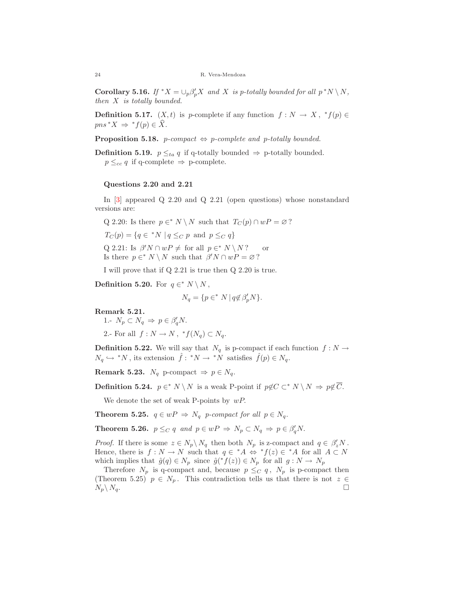**Corollary 5.16.** If  ${}^*X = \bigcup_p \beta'_p X$  and X is p-totally bounded for all  $p^*N \setminus N$ , then X is totally bounded.

**Definition 5.17.**  $(X, t)$  is p-complete if any function  $f: N \to X$ ,  $^*f(p) \in$  $pns * X \Rightarrow * f(p) \in X.$ 

**Proposition 5.18.** *p-compact*  $\Leftrightarrow$  *p-complete and p-totally bounded.* 

**Definition 5.19.**  $p \leq_{ta} q$  if q-totally bounded  $\Rightarrow$  p-totally bounded.  $p \leq_{cc} q$  if q-complete  $\Rightarrow$  p-complete.

#### Questions 2.20 and 2.21

In [\[3\]](#page-8-1) appeared Q 2.20 and Q 2.21 (open questions) whose nonstandard versions are:

Q 2.20: Is there  $p \in N \setminus N$  such that  $T_C(p) \cap wP = \emptyset$ ?

 $T_C(p) = \{q \in {^*N} \mid q \leq_C p \text{ and } p \leq_C q\}$ 

Q 2.21: Is  $\beta' N \cap wP \neq \text{ for all } p \in^* N \setminus N$ ? or Is there  $p \in N \setminus N$  such that  $\beta' N \cap wP = \varnothing$ ?

I will prove that if Q 2.21 is true then Q 2.20 is true.

Definition 5.20. For  $q \in N \setminus N$ ,

$$
N_q = \{ p \in^* N \mid q \notin \beta'_p N \}.
$$

Remark 5.21.

1.-  $N_p \subset N_q \Rightarrow p \in \beta'_q N$ .

2.- For all  $f: N \to N$ ,  ${}^*f(N_q) \subset N_q$ .

**Definition 5.22.** We will say that  $N_q$  is p-compact if each function  $f : N \to$  $N_q \hookrightarrow N$ , its extension  $\hat{f}: N \to N$  satisfies  $\hat{f}(p) \in N_q$ .

Remark 5.23.  $N_q$  p-compact  $\Rightarrow p \in N_q$ .

**Definition 5.24.**  $p \in K \setminus N$  is a weak P-point if  $p \notin C \subset K \setminus N \Rightarrow p \notin \overline{C}$ .

We denote the set of weak P-points by  $wP$ .

**Theorem 5.25.**  $q \in wP \Rightarrow N_q$  p-compact for all  $p \in N_q$ .

**Theorem 5.26.**  $p \leq_C q$  and  $p \in wP \Rightarrow N_p \subset N_q \Rightarrow p \in \beta'_q N$ .

*Proof.* If there is some  $z \in N_p \setminus N_q$  then both  $N_p$  is z-compact and  $q \in \beta_z' N$ . Hence, there is  $f: N \to N$  such that  $q \in {}^*A \Leftrightarrow {}^*f(z) \in {}^*A$  for all  $A \subset N$ which implies that  $\hat{g}(q) \in N_p$  since  $\hat{g}({}^*f(z)) \in N_p$  for all  $g: N \to N_p$ 

Therefore  $N_p$  is q-compact and, because  $p \leq_C q$ ,  $N_p$  is p-compact then (Theorem 5.25)  $p \in N_p$ . This contradiction tells us that there is not  $z \in$  $N_p\setminus N_q$ .